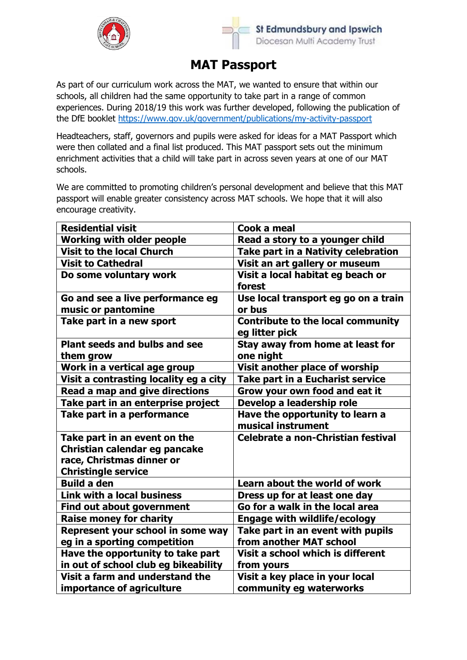



## **MAT Passport**

As part of our curriculum work across the MAT, we wanted to ensure that within our schools, all children had the same opportunity to take part in a range of common experiences. During 2018/19 this work was further developed, following the publication of the DfE booklet<https://www.gov.uk/government/publications/my-activity-passport>

Headteachers, staff, governors and pupils were asked for ideas for a MAT Passport which were then collated and a final list produced. This MAT passport sets out the minimum enrichment activities that a child will take part in across seven years at one of our MAT schools.

We are committed to promoting children's personal development and believe that this MAT passport will enable greater consistency across MAT schools. We hope that it will also encourage creativity.

| <b>Residential visit</b>               | Cook a meal                                                |
|----------------------------------------|------------------------------------------------------------|
| <b>Working with older people</b>       | Read a story to a younger child                            |
| <b>Visit to the local Church</b>       | <b>Take part in a Nativity celebration</b>                 |
| <b>Visit to Cathedral</b>              | Visit an art gallery or museum                             |
| Do some voluntary work                 | Visit a local habitat eg beach or                          |
|                                        | forest                                                     |
| Go and see a live performance eg       | Use local transport eg go on a train                       |
| music or pantomine                     | or bus                                                     |
| Take part in a new sport               | <b>Contribute to the local community</b><br>eg litter pick |
| <b>Plant seeds and bulbs and see</b>   | Stay away from home at least for                           |
| them grow                              | one night                                                  |
| Work in a vertical age group           | Visit another place of worship                             |
| Visit a contrasting locality eg a city | Take part in a Eucharist service                           |
| <b>Read a map and give directions</b>  | Grow your own food and eat it                              |
| Take part in an enterprise project     | Develop a leadership role                                  |
| Take part in a performance             | Have the opportunity to learn a                            |
|                                        | musical instrument                                         |
| Take part in an event on the           | <b>Celebrate a non-Christian festival</b>                  |
| Christian calendar eg pancake          |                                                            |
| race, Christmas dinner or              |                                                            |
| <b>Christingle service</b>             |                                                            |
| <b>Build a den</b>                     | Learn about the world of work                              |
| <b>Link with a local business</b>      | Dress up for at least one day                              |
| Find out about government              | Go for a walk in the local area                            |
| <b>Raise money for charity</b>         | <b>Engage with wildlife/ecology</b>                        |
| Represent your school in some way      | Take part in an event with pupils                          |
| eg in a sporting competition           | from another MAT school                                    |
| Have the opportunity to take part      | Visit a school which is different                          |
| in out of school club eg bikeability   | from yours                                                 |
| Visit a farm and understand the        | Visit a key place in your local                            |
| importance of agriculture              | community eg waterworks                                    |